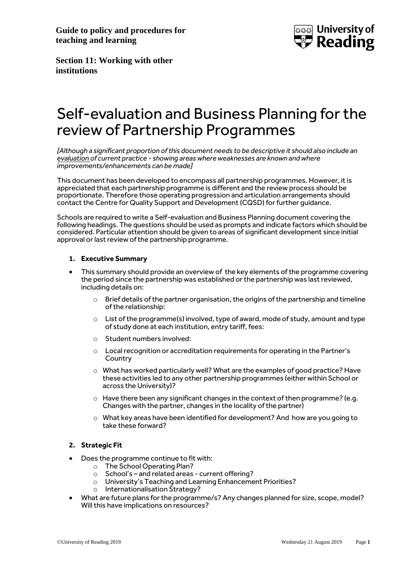**Guide to policy and procedures for teaching and learning**



**Section 11: Working with other institutions**

# Self-evaluation and Business Planning for the review of Partnership Programmes

*[Although a significant proportion of this document needs to be descriptive it should also include an evaluation of current practice - showing areas where weaknesses are known and where improvements/enhancements can be made]*

This document has been developed to encompass all partnership programmes. However, it is appreciated that each partnership programme is different and the review process should be proportionate. Therefore those operating progression and articulation arrangements should contact the Centre for Quality Support and Development (CQSD) for further guidance.

Schools are required to write a Self-evaluation and Business Planning document covering the following headings. The questions should be used as prompts and indicate factors which should be considered. Particular attention should be given to areas of significant development since initial approval or last review of the partnership programme.

# **1. Executive Summary**

- This summary should provide an overview of the key elements of the programme covering the period since the partnership was established or the partnership was last reviewed, including details on:
	- o Brief details of the partner organisation, the origins of the partnership and timeline of the relationship:
	- $\circ$  List of the programme(s) involved, type of award, mode of study, amount and type of study done at each institution, entry tariff, fees:
	- o Student numbers involved:
	- o Local recognition or accreditation requirements for operating in the Partner's **Country**
	- $\circ$  What has worked particularly well? What are the examples of good practice? Have these activities led to any other partnership programmes (either within School or across the University)?
	- $\circ$  Have there been any significant changes in the context of then programme? (e.g. Changes with the partner, changes in the locality of the partner)
	- o What key areas have been identified for development? And how are you going to take these forward?

# **2. Strategic Fit**

- Does the programme continue to fit with:
	- o The School Operating Plan?
	- o School's and related areas current offering?
	- o University's Teaching and Learning Enhancement Priorities?
	- o Internationalisation Strategy?
- What are future plans for the programme/s? Any changes planned for size, scope, model? Will this have implications on resources?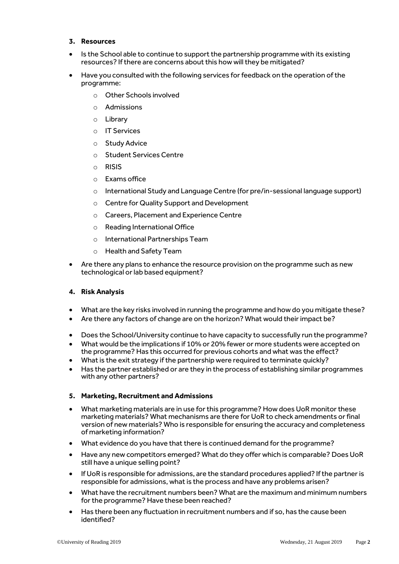#### **3. Resources**

- Is the School able to continue to support the partnership programme with its existing resources? If there are concerns about this how will they be mitigated?
- Have you consulted with the following services for feedback on the operation of the programme:
	- o Other Schools involved
	- o Admissions
	- o Library
	- o IT Services
	- o Study Advice
	- o Student Services Centre
	- o RISIS
	- o Exams office
	- $\circ$  International Study and Language Centre (for pre/in-sessional language support)
	- o Centre for Quality Support and Development
	- o Careers, Placement and Experience Centre
	- o Reading International Office
	- o International Partnerships Team
	- o Health and Safety Team
- Are there any plans to enhance the resource provision on the programme such as new technological or lab based equipment?

#### **4. Risk Analysis**

- What are the key risks involved in running the programme and how do you mitigate these?
- Are there any factors of change are on the horizon? What would their impact be?
- Does the School/University continue to have capacity to successfully run the programme?
- What would be the implications if 10% or 20% fewer or more students were accepted on the programme? Has this occurred for previous cohorts and what was the effect?
- What is the exit strategy if the partnership were required to terminate quickly?
- Has the partner established or are they in the process of establishing similar programmes with any other partners?

#### **5. Marketing, Recruitment and Admissions**

- What marketing materials are in use for this programme? How does UoR monitor these marketing materials? What mechanisms are there for UoR to check amendments or final version of new materials? Who is responsible for ensuring the accuracy and completeness of marketing information?
- What evidence do you have that there is continued demand for the programme?
- Have any new competitors emerged? What do they offer which is comparable? Does UoR still have a unique selling point?
- If UoR is responsible for admissions, are the standard procedures applied? If the partner is responsible for admissions, what is the process and have any problems arisen?
- What have the recruitment numbers been? What are the maximum and minimum numbers for the programme? Have these been reached?
- Has there been any fluctuation in recruitment numbers and if so, has the cause been identified?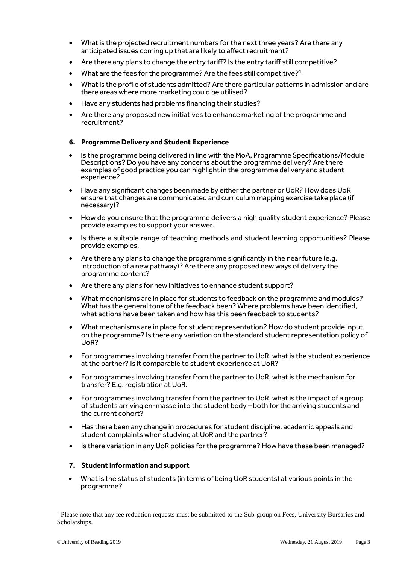- What is the projected recruitment numbers for the next three years? Are there any anticipated issues coming up that are likely to affect recruitment?
- Are there any plans to change the entry tariff? Is the entry tariff still competitive?
- What are the fees for the programme? Are the fees still competitive?<sup>1</sup>
- What is the profile of students admitted? Are there particular patterns in admission and are there areas where more marketing could be utilised?
- Have any students had problems financing their studies?
- Are there any proposed new initiatives to enhance marketing of the programme and recruitment?

## **6. Programme Delivery and Student Experience**

- Is the programme being delivered in line with the MoA, Programme Specifications/Module Descriptions? Do you have any concerns about the programme delivery? Are there examples of good practice you can highlight in the programme delivery and student experience?
- Have any significant changes been made by either the partner or UoR? How does UoR ensure that changes are communicated and curriculum mapping exercise take place (if necessary)?
- How do you ensure that the programme delivers a high quality student experience? Please provide examples to support your answer.
- Is there a suitable range of teaching methods and student learning opportunities? Please provide examples.
- Are there any plans to change the programme significantly in the near future (e.g. introduction of a new pathway)? Are there any proposed new ways of delivery the programme content?
- Are there any plans for new initiatives to enhance student support?
- What mechanisms are in place for students to feedback on the programme and modules? What has the general tone of the feedback been? Where problems have been identified, what actions have been taken and how has this been feedback to students?
- What mechanisms are in place for student representation? How do student provide input on the programme? Is there any variation on the standard student representation policy of UoR?
- For programmes involving transfer from the partner to UoR, what is the student experience at the partner? Is it comparable to student experience at UoR?
- For programmes involving transfer from the partner to UoR, what is the mechanism for transfer? E.g. registration at UoR.
- For programmes involving transfer from the partner to UoR, what is the impact of a group of students arriving en-masse into the student body – both for the arriving students and the current cohort?
- Has there been any change in procedures for student discipline, academic appeals and student complaints when studying at UoR and the partner?
- Is there variation in any UoR policies for the programme? How have these been managed?

## **7. Student information and support**

 What is the status of students (in terms of being UoR students) at various points in the programme?

1

<sup>&</sup>lt;sup>1</sup> Please note that any fee reduction requests must be submitted to the Sub-group on Fees, University Bursaries and Scholarships.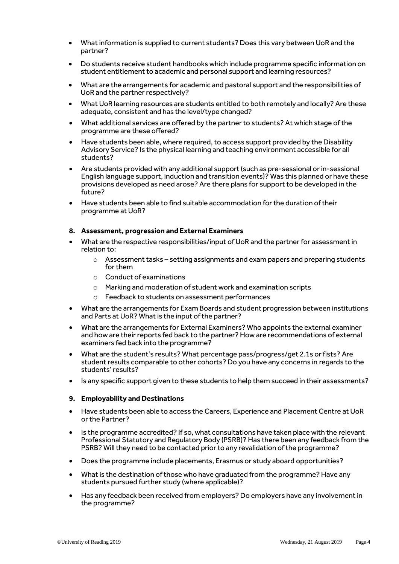- What information is supplied to current students? Does this vary between UoR and the partner?
- Do students receive student handbooks which include programme specific information on student entitlement to academic and personal support and learning resources?
- What are the arrangements for academic and pastoral support and the responsibilities of UoR and the partner respectively?
- What UoR learning resources are students entitled to both remotely and locally? Are these adequate, consistent and has the level/type changed?
- What additional services are offered by the partner to students? At which stage of the programme are these offered?
- Have students been able, where required, to access support provided by the Disability Advisory Service? Is the physical learning and teaching environment accessible for all students?
- Are students provided with any additional support (such as pre-sessional or in-sessional English language support, induction and transition events)? Was this planned or have these provisions developed as need arose? Are there plans for support to be developed in the future?
- Have students been able to find suitable accommodation for the duration of their programme at UoR?

#### **8. Assessment, progression and External Examiners**

- What are the respective responsibilities/input of UoR and the partner for assessment in relation to:
	- $\circ$  Assessment tasks setting assignments and exam papers and preparing students for them
	- o Conduct of examinations
	- o Marking and moderation of student work and examination scripts
	- o Feedback to students on assessment performances
- What are the arrangements for Exam Boards and student progression between institutions and Parts at UoR? What is the input of the partner?
- What are the arrangements for External Examiners? Who appoints the external examiner and how are their reports fed back to the partner? How are recommendations of external examiners fed back into the programme?
- What are the student's results? What percentage pass/progress/get 2.1s or fists? Are student results comparable to other cohorts? Do you have any concerns in regards to the students' results?
- Is any specific support given to these students to help them succeed in their assessments?

#### **9. Employability and Destinations**

- Have students been able to access the Careers, Experience and Placement Centre at UoR or the Partner?
- Is the programme accredited? If so, what consultations have taken place with the relevant Professional Statutory and Regulatory Body (PSRB)? Has there been any feedback from the PSRB? Will they need to be contacted prior to any revalidation of the programme?
- Does the programme include placements, Erasmus or study aboard opportunities?
- What is the destination of those who have graduated from the programme? Have any students pursued further study (where applicable)?
- Has any feedback been received from employers? Do employers have any involvement in the programme?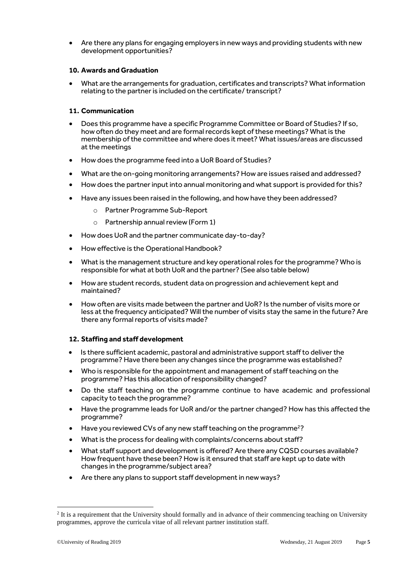Are there any plans for engaging employers in new ways and providing students with new development opportunities?

## **10. Awards and Graduation**

 What are the arrangements for graduation, certificates and transcripts? What information relating to the partner is included on the certificate/ transcript?

# **11. Communication**

- Does this programme have a specific Programme Committee or Board of Studies? If so, how often do they meet and are formal records kept of these meetings? What is the membership of the committee and where does it meet? What issues/areas are discussed at the meetings
- How does the programme feed into a UoR Board of Studies?
- What are the on-going monitoring arrangements? How are issues raised and addressed?
- How does the partner input into annual monitoring and what support is provided for this?
- Have any issues been raised in the following, and how have they been addressed?
	- o Partner Programme Sub-Report
	- o Partnership annual review (Form 1)
- How does UoR and the partner communicate day-to-day?
- How effective is the Operational Handbook?
- What is the management structure and key operational roles for the programme? Who is responsible for what at both UoR and the partner? (See also table below)
- How are student records, student data on progression and achievement kept and maintained?
- How often are visits made between the partner and UoR? Is the number of visits more or less at the frequency anticipated? Will the number of visits stay the same in the future? Are there any formal reports of visits made?

## **12. Staffing and staff development**

- Is there sufficient academic, pastoral and administrative support staff to deliver the programme? Have there been any changes since the programme was established?
- Who is responsible for the appointment and management of staff teaching on the programme? Has this allocation of responsibility changed?
- Do the staff teaching on the programme continue to have academic and professional capacity to teach the programme?
- Have the programme leads for UoR and/or the partner changed? How has this affected the programme?
- Have you reviewed CVs of any new staff teaching on the programme<sup>2</sup>?
- What is the process for dealing with complaints/concerns about staff?
- What staff support and developmentis offered? Are there any CQSD courses available? How frequent have these been? How is it ensured that staff are kept up to date with changes in the programme/subject area?
- Are there any plans to support staff development in new ways?

1

<sup>&</sup>lt;sup>2</sup> It is a requirement that the University should formally and in advance of their commencing teaching on University programmes, approve the curricula vitae of all relevant partner institution staff.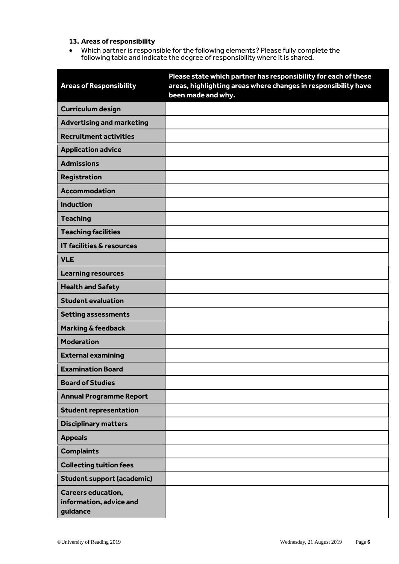# **13. Areas of responsibility**

• Which partner is responsible for the following elements? Please fully complete the following table and indicate the degree of responsibility where it is shared.

| <b>Areas of Responsibility</b>                                   | Please state which partner has responsibility for each of these<br>areas, highlighting areas where changes in responsibility have<br>been made and why. |
|------------------------------------------------------------------|---------------------------------------------------------------------------------------------------------------------------------------------------------|
| <b>Curriculum design</b>                                         |                                                                                                                                                         |
| <b>Advertising and marketing</b>                                 |                                                                                                                                                         |
| <b>Recruitment activities</b>                                    |                                                                                                                                                         |
| <b>Application advice</b>                                        |                                                                                                                                                         |
| <b>Admissions</b>                                                |                                                                                                                                                         |
| Registration                                                     |                                                                                                                                                         |
| <b>Accommodation</b>                                             |                                                                                                                                                         |
| <b>Induction</b>                                                 |                                                                                                                                                         |
| <b>Teaching</b>                                                  |                                                                                                                                                         |
| <b>Teaching facilities</b>                                       |                                                                                                                                                         |
| <b>IT facilities &amp; resources</b>                             |                                                                                                                                                         |
| <b>VLE</b>                                                       |                                                                                                                                                         |
| <b>Learning resources</b>                                        |                                                                                                                                                         |
| <b>Health and Safety</b>                                         |                                                                                                                                                         |
| <b>Student evaluation</b>                                        |                                                                                                                                                         |
| <b>Setting assessments</b>                                       |                                                                                                                                                         |
| <b>Marking &amp; feedback</b>                                    |                                                                                                                                                         |
| <b>Moderation</b>                                                |                                                                                                                                                         |
| <b>External examining</b>                                        |                                                                                                                                                         |
| <b>Examination Board</b>                                         |                                                                                                                                                         |
| <b>Board of Studies</b>                                          |                                                                                                                                                         |
| <b>Annual Programme Report</b>                                   |                                                                                                                                                         |
| <b>Student representation</b>                                    |                                                                                                                                                         |
| <b>Disciplinary matters</b>                                      |                                                                                                                                                         |
| <b>Appeals</b>                                                   |                                                                                                                                                         |
| <b>Complaints</b>                                                |                                                                                                                                                         |
| <b>Collecting tuition fees</b>                                   |                                                                                                                                                         |
| <b>Student support (academic)</b>                                |                                                                                                                                                         |
| <b>Careers education,</b><br>information, advice and<br>guidance |                                                                                                                                                         |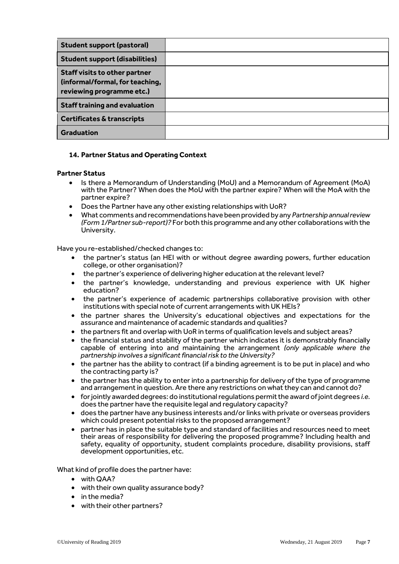| <b>Student support (pastoral)</b>                                                                    |  |
|------------------------------------------------------------------------------------------------------|--|
| <b>Student support (disabilities)</b>                                                                |  |
| <b>Staff visits to other partner</b><br>(informal/formal, for teaching,<br>reviewing programme etc.) |  |
| <b>Staff training and evaluation</b>                                                                 |  |
| <b>Certificates &amp; transcripts</b>                                                                |  |
| <b>Graduation</b>                                                                                    |  |

## **14. Partner Status and Operating Context**

#### **Partner Status**

- Is there a Memorandum of Understanding (MoU) and a Memorandum of Agreement (MoA) with the Partner? When does the MoU with the partner expire? When will the MoA with the partner expire?
- Does the Partner have any other existing relationships with UoR?
- What comments and recommendations have been provided by any *Partnership annual review (Form 1/Partner sub-report)?* For both this programme and any other collaborations with the University.

Have you re-established/checked changes to:

- the partner's status (an HEI with or without degree awarding powers, further education college, or other organisation)?
- the partner's experience of delivering higher education at the relevant level?
- the partner's knowledge, understanding and previous experience with UK higher education?
- the partner's experience of academic partnerships collaborative provision with other institutions with special note of current arrangements with UK HEIs?
- the partner shares the University's educational objectives and expectations for the assurance and maintenance of academic standards and qualities?
- the partners fit and overlap with UoR in terms of qualification levels and subject areas?
- the financial status and stability of the partner which indicates it is demonstrably financially capable of entering into and maintaining the arrangement *(only applicable where the partnership involves a significant financial risk to the University?*
- the partner has the ability to contract (if a binding agreement is to be put in place) and who the contracting party is?
- the partner has the ability to enter into a partnership for delivery of the type of programme and arrangement in question. Are there any restrictions on what they can and cannot do?
- for jointly awarded degrees: do institutional regulations permit the award of joint degrees *i.e.* does the partner have the requisite legal and regulatory capacity?
- does the partner have any business interests and/or links with private or overseas providers which could present potential risks to the proposed arrangement?
- $\bullet$  partner has in place the suitable type and standard of facilities and resources need to meet their areas of responsibility for delivering the proposed programme? Including health and safety, equality of opportunity, student complaints procedure, disability provisions, staff development opportunities, etc.

What kind of profile does the partner have:

- with QAA?
- with their own quality assurance body?
- in the media?
- with their other partners?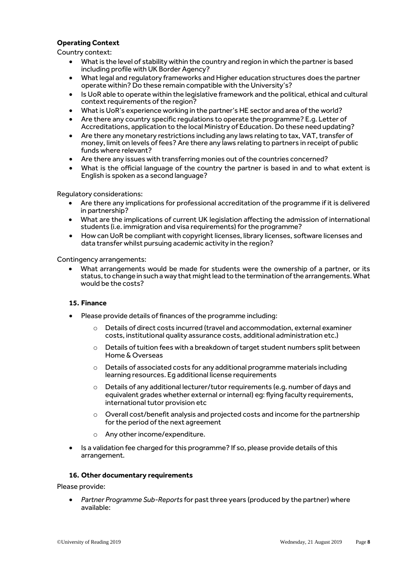# **Operating Context**

Country context:

- What is the level of stability within the country and region in which the partner is based including profile with UK Border Agency?
- What legal and regulatory frameworks and Higher education structures does the partner operate within? Do these remain compatible with the University's?
- Is UoR able to operate within the legislative framework and the political, ethical and cultural context requirements of the region?
- What is UoR's experience working in the partner's HE sector and area of the world?
- Are there any country specific regulations to operate the programme? E.g. Letter of Accreditations, application to the local Ministry of Education. Do these need updating?
- Are there any monetary restrictions including any laws relating to tax, VAT, transfer of money, limit on levels of fees? Are there any laws relating to partners in receipt of public funds where relevant?
- Are there any issues with transferring monies out of the countries concerned?
- What is the official language of the country the partner is based in and to what extent is English is spoken as a second language?

Regulatory considerations:

- Are there any implications for professional accreditation of the programme if it is delivered in partnership?
- What are the implications of current UK legislation affecting the admission of international students (i.e. immigration and visa requirements) for the programme?
- How can UoR be compliant with copyright licenses, library licenses, software licenses and data transfer whilst pursuing academic activity in the region?

Contingency arrangements:

 What arrangements would be made for students were the ownership of a partner, or its status, to change in such a way that might lead to the termination of the arrangements. What would be the costs?

## **15. Finance**

- Please provide details of finances of the programme including:
	- o Details of direct costs incurred (travel and accommodation, external examiner costs, institutional quality assurance costs, additional administration etc.)
	- $\circ$  Details of tuition fees with a breakdown of target student numbers split between Home & Overseas
	- o Details of associated costs for any additional programme materials including learning resources. Eg additional license requirements
	- o Details of any additional lecturer/tutor requirements (e.g. number of days and equivalent grades whether external or internal) eg: flying faculty requirements, international tutor provision etc
	- $\circ$  Overall cost/benefit analysis and projected costs and income for the partnership for the period of the next agreement
	- Any other income/expenditure.
- Is a validation fee charged for this programme? If so, please provide details of this arrangement.

#### **16. Other documentary requirements**

Please provide:

 *Partner Programme Sub-Reports* for past three years (produced by the partner) where available: